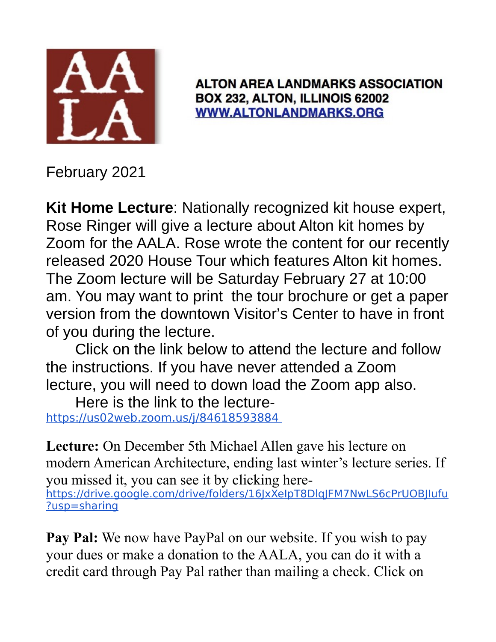

**ALTON AREA LANDMARKS ASSOCIATION** BOX 232, ALTON, ILLINOIS 62002 **WWW.ALTONLANDMARKS.ORG** 

February 2021

**Kit Home Lecture**: Nationally recognized kit house expert, Rose Ringer will give a lecture about Alton kit homes by Zoom for the AALA. Rose wrote the content for our recently released 2020 House Tour which features Alton kit homes. The Zoom lecture will be Saturday February 27 at 10:00 am. You may want to print the tour brochure or get a paper version from the downtown Visitor's Center to have in front of you during the lecture.

Click on the link below to attend the lecture and follow the instructions. If you have never attended a Zoom lecture, you will need to down load the Zoom app also.

Here is the link to the lecture https://us02web.zoom.us/j/84618593884

**Lecture:** On December 5th Michael Allen gave his lecture on modern American Architecture, ending last winter's lecture series. If you missed it, you can see it by clicking here-

https://drive.google.com/drive/folders/16JxXeIpT8DlqJFM7NwLS6cPrUOBJIufu ?usp=sharing

**Pay Pal:** We now have PayPal on our website. If you wish to pay your dues or make a donation to the AALA, you can do it with a credit card through Pay Pal rather than mailing a check. Click on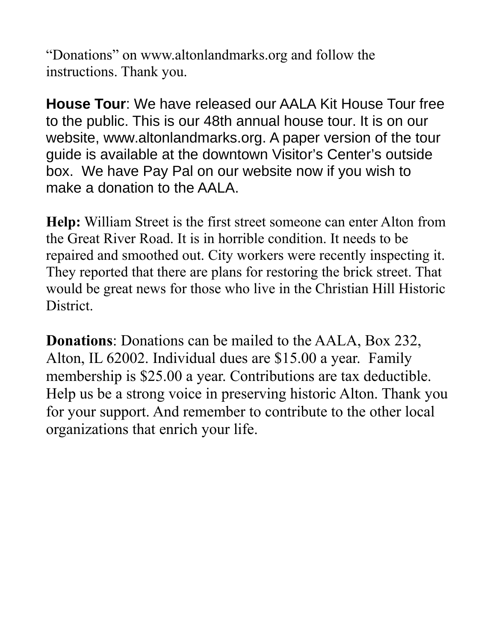"Donations" on www.altonlandmarks.org and follow the instructions. Thank you.

**House Tour**: We have released our AALA Kit House Tour free to the public. This is our 48th annual house tour. It is on our website, www.altonlandmarks.org. A paper version of the tour guide is available at the downtown Visitor's Center's outside box. We have Pay Pal on our website now if you wish to make a donation to the AALA.

**Help:** William Street is the first street someone can enter Alton from the Great River Road. It is in horrible condition. It needs to be repaired and smoothed out. City workers were recently inspecting it. They reported that there are plans for restoring the brick street. That would be great news for those who live in the Christian Hill Historic District.

**Donations**: Donations can be mailed to the AALA, Box 232, Alton, IL 62002. Individual dues are \$15.00 a year. Family membership is \$25.00 a year. Contributions are tax deductible. Help us be a strong voice in preserving historic Alton. Thank you for your support. And remember to contribute to the other local organizations that enrich your life.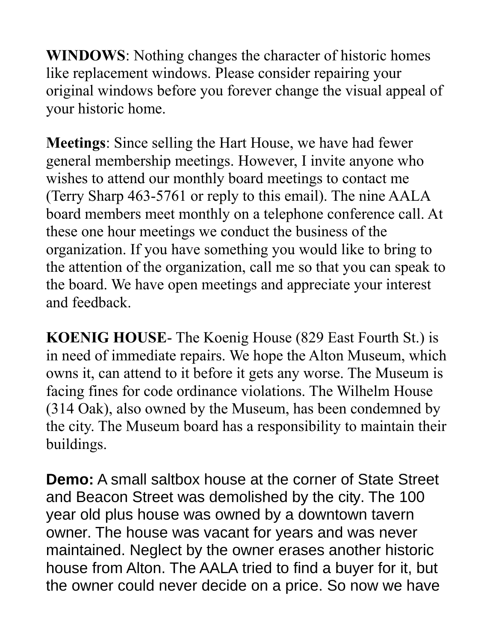**WINDOWS**: Nothing changes the character of historic homes like replacement windows. Please consider repairing your original windows before you forever change the visual appeal of your historic home.

**Meetings**: Since selling the Hart House, we have had fewer general membership meetings. However, I invite anyone who wishes to attend our monthly board meetings to contact me (Terry Sharp 463-5761 or reply to this email). The nine AALA board members meet monthly on a telephone conference call. At these one hour meetings we conduct the business of the organization. If you have something you would like to bring to the attention of the organization, call me so that you can speak to the board. We have open meetings and appreciate your interest and feedback.

**KOENIG HOUSE**- The Koenig House (829 East Fourth St.) is in need of immediate repairs. We hope the Alton Museum, which owns it, can attend to it before it gets any worse. The Museum is facing fines for code ordinance violations. The Wilhelm House (314 Oak), also owned by the Museum, has been condemned by the city. The Museum board has a responsibility to maintain their buildings.

**Demo:** A small saltbox house at the corner of State Street and Beacon Street was demolished by the city. The 100 year old plus house was owned by a downtown tavern owner. The house was vacant for years and was never maintained. Neglect by the owner erases another historic house from Alton. The AALA tried to find a buyer for it, but the owner could never decide on a price. So now we have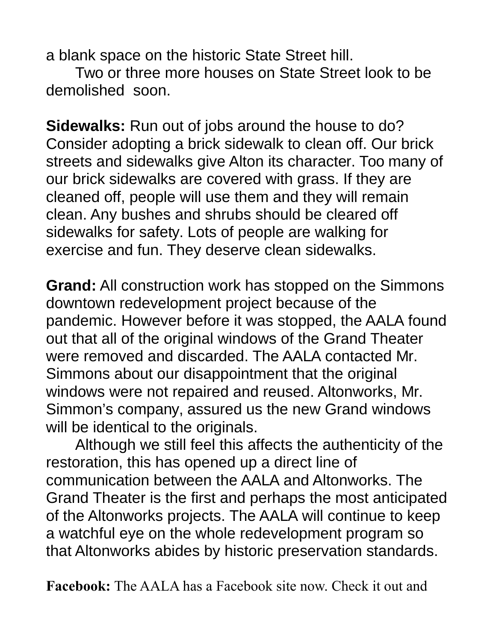a blank space on the historic State Street hill.

Two or three more houses on State Street look to be demolished soon.

**Sidewalks:** Run out of jobs around the house to do? Consider adopting a brick sidewalk to clean off. Our brick streets and sidewalks give Alton its character. Too many of our brick sidewalks are covered with grass. If they are cleaned off, people will use them and they will remain clean. Any bushes and shrubs should be cleared off sidewalks for safety. Lots of people are walking for exercise and fun. They deserve clean sidewalks.

**Grand:** All construction work has stopped on the Simmons downtown redevelopment project because of the pandemic. However before it was stopped, the AALA found out that all of the original windows of the Grand Theater were removed and discarded. The AALA contacted Mr. Simmons about our disappointment that the original windows were not repaired and reused. Altonworks, Mr. Simmon's company, assured us the new Grand windows will be identical to the originals.

Although we still feel this affects the authenticity of the restoration, this has opened up a direct line of communication between the AALA and Altonworks. The Grand Theater is the first and perhaps the most anticipated of the Altonworks projects. The AALA will continue to keep a watchful eye on the whole redevelopment program so that Altonworks abides by historic preservation standards.

**Facebook:** The AALA has a Facebook site now. Check it out and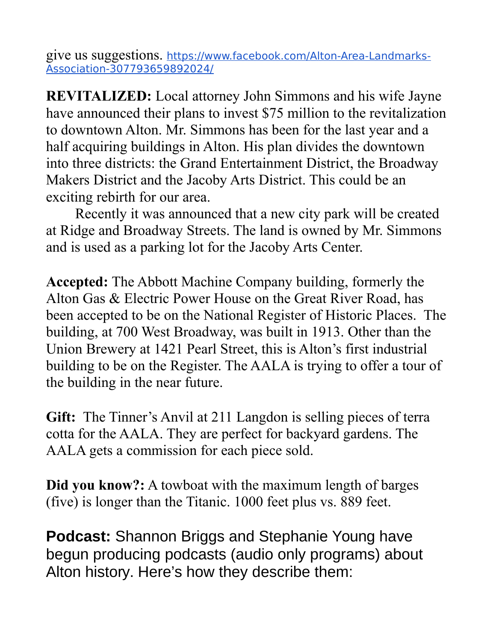give us suggestions. https://www.facebook.com/Alton-Area-Landmarks-Association-307793659892024/

**REVITALIZED:** Local attorney John Simmons and his wife Jayne have announced their plans to invest \$75 million to the revitalization to downtown Alton. Mr. Simmons has been for the last year and a half acquiring buildings in Alton. His plan divides the downtown into three districts: the Grand Entertainment District, the Broadway Makers District and the Jacoby Arts District. This could be an exciting rebirth for our area.

Recently it was announced that a new city park will be created at Ridge and Broadway Streets. The land is owned by Mr. Simmons and is used as a parking lot for the Jacoby Arts Center.

**Accepted:** The Abbott Machine Company building, formerly the Alton Gas & Electric Power House on the Great River Road, has been accepted to be on the National Register of Historic Places. The building, at 700 West Broadway, was built in 1913. Other than the Union Brewery at 1421 Pearl Street, this is Alton's first industrial building to be on the Register. The AALA is trying to offer a tour of the building in the near future.

**Gift:** The Tinner's Anvil at 211 Langdon is selling pieces of terra cotta for the AALA. They are perfect for backyard gardens. The AALA gets a commission for each piece sold.

**Did you know?:** A towboat with the maximum length of barges (five) is longer than the Titanic. 1000 feet plus vs. 889 feet.

**Podcast:** Shannon Briggs and Stephanie Young have begun producing podcasts (audio only programs) about Alton history. Here's how they describe them: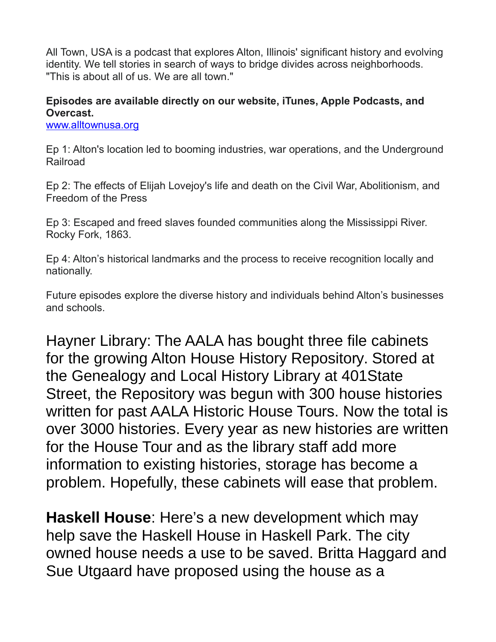All Town, USA is a podcast that explores Alton, Illinois' significant history and evolving identity. We tell stories in search of ways to bridge divides across neighborhoods. "This is about all of us. We are all town."

## **Episodes are available directly on our website, iTunes, Apple Podcasts, and Overcast.**

[www.alltownusa.org](http://www.alltownusa.org/)

Ep 1: Alton's location led to booming industries, war operations, and the Underground Railroad

Ep 2: The effects of Elijah Lovejoy's life and death on the Civil War, Abolitionism, and Freedom of the Press

Ep 3: Escaped and freed slaves founded communities along the Mississippi River. Rocky Fork, 1863.

Ep 4: Alton's historical landmarks and the process to receive recognition locally and nationally.

Future episodes explore the diverse history and individuals behind Alton's businesses and schools.

Hayner Library: The AALA has bought three file cabinets for the growing Alton House History Repository. Stored at the Genealogy and Local History Library at 401State Street, the Repository was begun with 300 house histories written for past AALA Historic House Tours. Now the total is over 3000 histories. Every year as new histories are written for the House Tour and as the library staff add more information to existing histories, storage has become a problem. Hopefully, these cabinets will ease that problem.

**Haskell House**: Here's a new development which may help save the Haskell House in Haskell Park. The city owned house needs a use to be saved. Britta Haggard and Sue Utgaard have proposed using the house as a